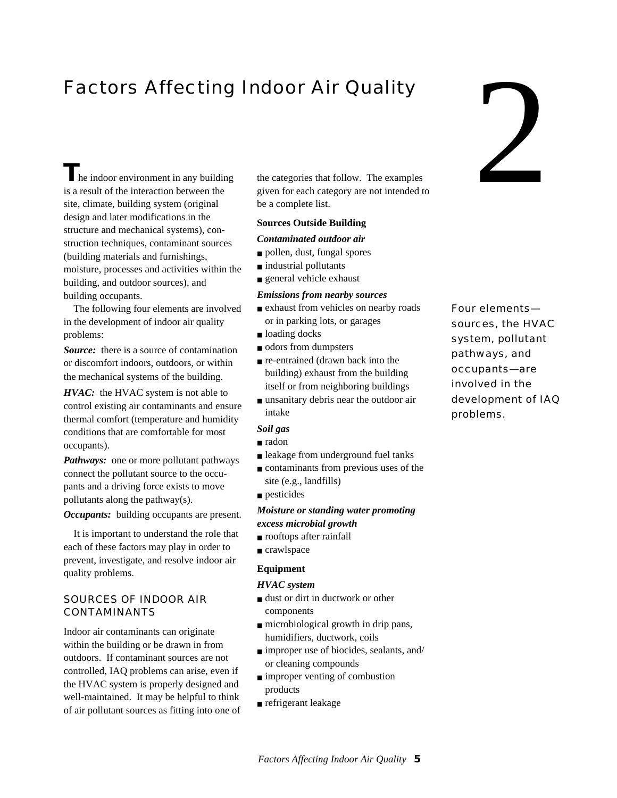# Factors Affecting Indoor Air Quality



**he indoor environment in any building** is a result of the interaction between the site, climate, building system (original design and later modifications in the structure and mechanical systems), construction techniques, contaminant sources (building materials and furnishings, moisture, processes and activities within the building, and outdoor sources), and building occupants.

 The following four elements are involved in the development of indoor air quality problems:

*Source:* there is a source of contamination or discomfort indoors, outdoors, or within the mechanical systems of the building.

*HVAC*: the HVAC system is not able to control existing air contaminants and ensure thermal comfort (temperature and humidity conditions that are comfortable for most occupants).

*Pathways:* one or more pollutant pathways connect the pollutant source to the occupants and a driving force exists to move pollutants along the pathway(s).

*Occupants:* building occupants are present.

 It is important to understand the role that each of these factors may play in order to prevent, investigate, and resolve indoor air quality problems.

# SOURCES OF INDOOR AIR CONTAMINANTS

Indoor air contaminants can originate within the building or be drawn in from outdoors. If contaminant sources are not controlled, IAQ problems can arise, even if the HVAC system is properly designed and well-maintained. It may be helpful to think of air pollutant sources as fitting into one of the categories that follow. The examples given for each category are not intended to be a complete list.

## **Sources Outside Building**

#### *Contaminated outdoor air*

- pollen, dust, fungal spores
- n industrial pollutants
- general vehicle exhaust

#### *Emissions from nearby sources*

- exhaust from vehicles on nearby roads or in parking lots, or garages
- n loading docks
- n odors from dumpsters
- re-entrained (drawn back into the building) exhaust from the building itself or from neighboring buildings unsanitary debris near the outdoor air intake

## *Soil gas*

- n radon
- leakage from underground fuel tanks
- contaminants from previous uses of the site (e.g., landfills)
- n pesticides

*Moisture or standing water promoting excess microbial growth*

- rooftops after rainfall
- n crawlspace

#### **Equipment**

#### *HVAC system*

- dust or dirt in ductwork or other components
- n microbiological growth in drip pans, humidifiers, ductwork, coils
- improper use of biocides, sealants, and/ or cleaning compounds
- improper venting of combustion products
- refrigerant leakage

Four elements sources, the HVAC system, pollutant pathways, and occupants—are involved in the development of IAQ problems.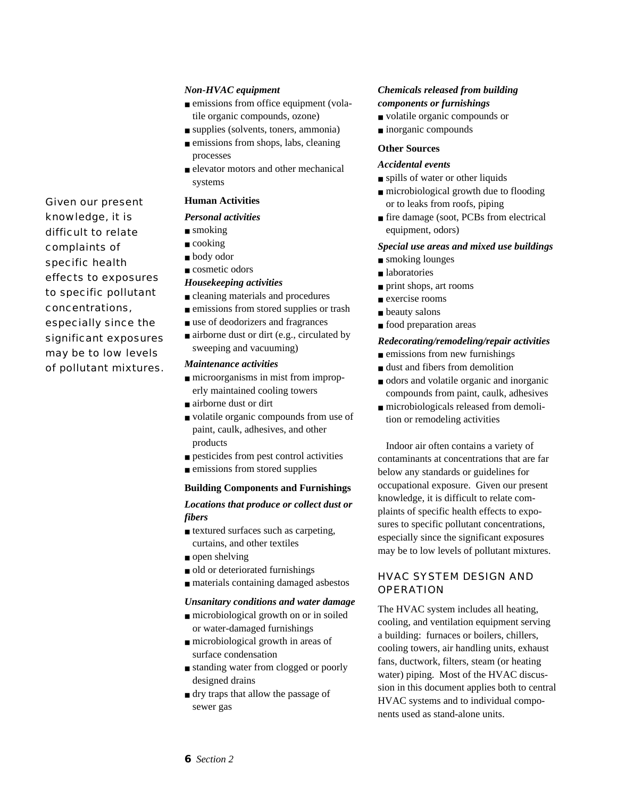## *Non-HVAC equipment*

- n emissions from office equipment (volatile organic compounds, ozone)
- supplies (solvents, toners, ammonia)
- n emissions from shops, labs, cleaning processes
- n elevator motors and other mechanical systems

# **Human Activities**

## *Personal activities*

- smoking
- n cooking
- body odor
- cosmetic odors

#### *Housekeeping activities*

- cleaning materials and procedures
- n emissions from stored supplies or trash
- use of deodorizers and fragrances
- airborne dust or dirt (e.g., circulated by sweeping and vacuuming)

#### *Maintenance activities*

- microorganisms in mist from improperly maintained cooling towers
- airborne dust or dirt
- volatile organic compounds from use of paint, caulk, adhesives, and other products
- pesticides from pest control activities
- n emissions from stored supplies

## **Building Components and Furnishings**

## *Locations that produce or collect dust or fibers*

- n textured surfaces such as carpeting, curtains, and other textiles
- n open shelving
- n old or deteriorated furnishings
- materials containing damaged asbestos

## *Unsanitary conditions and water damage*

- microbiological growth on or in soiled or water-damaged furnishings
- microbiological growth in areas of surface condensation
- standing water from clogged or poorly designed drains
- dry traps that allow the passage of sewer gas

## *Chemicals released from building components or furnishings*

- volatile organic compounds or
- n inorganic compounds

## **Other Sources**

#### *Accidental events*

- spills of water or other liquids
- microbiological growth due to flooding or to leaks from roofs, piping
- fire damage (soot, PCBs from electrical equipment, odors)

#### *Special use areas and mixed use buildings*

- smoking lounges
- laboratories
- print shops, art rooms
- n exercise rooms
- beauty salons
- n food preparation areas

#### *Redecorating/remodeling/repair activities*

- $n$  emissions from new furnishings
- dust and fibers from demolition
- odors and volatile organic and inorganic compounds from paint, caulk, adhesives
- microbiologicals released from demolition or remodeling activities

Indoor air often contains a variety of contaminants at concentrations that are far below any standards or guidelines for occupational exposure. Given our present knowledge, it is difficult to relate complaints of specific health effects to exposures to specific pollutant concentrations, especially since the significant exposures may be to low levels of pollutant mixtures.

# HVAC SYSTEM DESIGN AND **OPERATION**

The HVAC system includes all heating, cooling, and ventilation equipment serving a building: furnaces or boilers, chillers, cooling towers, air handling units, exhaust fans, ductwork, filters, steam (or heating water) piping. Most of the HVAC discussion in this document applies both to central HVAC systems and to individual components used as stand-alone units.

Given our present knowledge, it is difficult to relate complaints of specific health effects to exposures to specific pollutant concentrations, especially since the significant exposures may be to low levels of pollutant mixtures.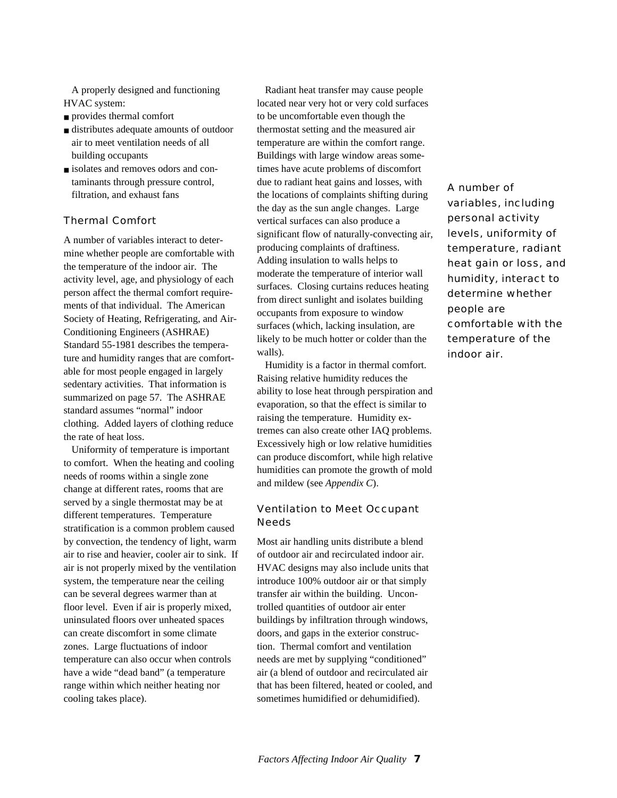A properly designed and functioning HVAC system:

- provides thermal comfort
- distributes adequate amounts of outdoor air to meet ventilation needs of all building occupants
- n isolates and removes odors and contaminants through pressure control, filtration, and exhaust fans

# Thermal Comfort

A number of variables interact to determine whether people are comfortable with the temperature of the indoor air. The activity level, age, and physiology of each person affect the thermal comfort requirements of that individual. The American Society of Heating, Refrigerating, and Air-Conditioning Engineers (ASHRAE) Standard 55-1981 describes the temperature and humidity ranges that are comfortable for most people engaged in largely sedentary activities. That information is summarized on page 57. The ASHRAE standard assumes "normal" indoor clothing. Added layers of clothing reduce the rate of heat loss.

Uniformity of temperature is important to comfort. When the heating and cooling needs of rooms within a single zone change at different rates, rooms that are served by a single thermostat may be at different temperatures. Temperature stratification is a common problem caused by convection, the tendency of light, warm air to rise and heavier, cooler air to sink. If air is not properly mixed by the ventilation system, the temperature near the ceiling can be several degrees warmer than at floor level. Even if air is properly mixed, uninsulated floors over unheated spaces can create discomfort in some climate zones. Large fluctuations of indoor temperature can also occur when controls have a wide "dead band" (a temperature range within which neither heating nor cooling takes place).

Radiant heat transfer may cause people located near very hot or very cold surfaces to be uncomfortable even though the thermostat setting and the measured air temperature are within the comfort range. Buildings with large window areas sometimes have acute problems of discomfort due to radiant heat gains and losses, with the locations of complaints shifting during the day as the sun angle changes. Large vertical surfaces can also produce a significant flow of naturally-convecting air, producing complaints of draftiness. Adding insulation to walls helps to moderate the temperature of interior wall surfaces. Closing curtains reduces heating from direct sunlight and isolates building occupants from exposure to window surfaces (which, lacking insulation, are likely to be much hotter or colder than the walls).

Humidity is a factor in thermal comfort. Raising relative humidity reduces the ability to lose heat through perspiration and evaporation, so that the effect is similar to raising the temperature. Humidity extremes can also create other IAQ problems. Excessively high or low relative humidities can produce discomfort, while high relative humidities can promote the growth of mold and mildew (see *Appendix C*).

# Ventilation to Meet Occupant Needs

Most air handling units distribute a blend of outdoor air and recirculated indoor air. HVAC designs may also include units that introduce 100% outdoor air or that simply transfer air within the building. Uncontrolled quantities of outdoor air enter buildings by infiltration through windows, doors, and gaps in the exterior construction. Thermal comfort and ventilation needs are met by supplying "conditioned" air (a blend of outdoor and recirculated air that has been filtered, heated or cooled, and sometimes humidified or dehumidified).

A number of variables, including personal activity levels, uniformity of temperature, radiant heat gain or loss, and humidity, interact to determine whether people are comfortable with the temperature of the indoor air.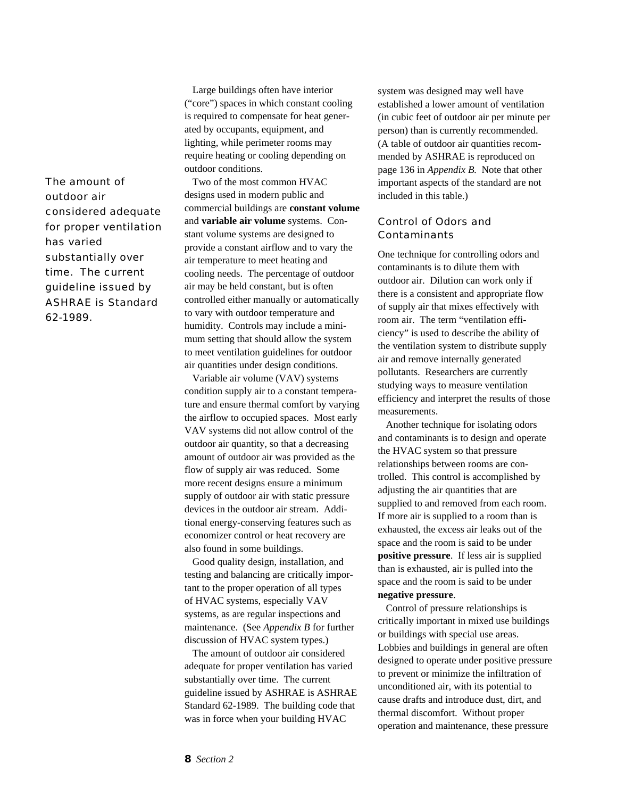The amount of outdoor air considered adequate for proper ventilation has varied substantially over time. The current guideline issued by ASHRAE is Standard 62-1989.

Large buildings often have interior ("core") spaces in which constant cooling is required to compensate for heat generated by occupants, equipment, and lighting, while perimeter rooms may require heating or cooling depending on outdoor conditions.

Two of the most common HVAC designs used in modern public and commercial buildings are **constant volume** and **variable air volume** systems. Constant volume systems are designed to provide a constant airflow and to vary the air temperature to meet heating and cooling needs. The percentage of outdoor air may be held constant, but is often controlled either manually or automatically to vary with outdoor temperature and humidity. Controls may include a minimum setting that should allow the system to meet ventilation guidelines for outdoor air quantities under design conditions.

Variable air volume (VAV) systems condition supply air to a constant temperature and ensure thermal comfort by varying the airflow to occupied spaces. Most early VAV systems did not allow control of the outdoor air quantity, so that a decreasing amount of outdoor air was provided as the flow of supply air was reduced. Some more recent designs ensure a minimum supply of outdoor air with static pressure devices in the outdoor air stream. Additional energy-conserving features such as economizer control or heat recovery are also found in some buildings.

Good quality design, installation, and testing and balancing are critically important to the proper operation of all types of HVAC systems, especially VAV systems, as are regular inspections and maintenance. (See *Appendix B* for further discussion of HVAC system types.)

The amount of outdoor air considered adequate for proper ventilation has varied substantially over time. The current guideline issued by ASHRAE is ASHRAE Standard 62-1989. The building code that was in force when your building HVAC

system was designed may well have established a lower amount of ventilation (in cubic feet of outdoor air per minute per person) than is currently recommended. (A table of outdoor air quantities recommended by ASHRAE is reproduced on page 136 in *Appendix B.* Note that other important aspects of the standard are not included in this table.)

# Control of Odors and Contaminants

One technique for controlling odors and contaminants is to dilute them with outdoor air. Dilution can work only if there is a consistent and appropriate flow of supply air that mixes effectively with room air. The term "ventilation efficiency" is used to describe the ability of the ventilation system to distribute supply air and remove internally generated pollutants. Researchers are currently studying ways to measure ventilation efficiency and interpret the results of those measurements.

Another technique for isolating odors and contaminants is to design and operate the HVAC system so that pressure relationships between rooms are controlled. This control is accomplished by adjusting the air quantities that are supplied to and removed from each room. If more air is supplied to a room than is exhausted, the excess air leaks out of the space and the room is said to be under **positive pressure**. If less air is supplied than is exhausted, air is pulled into the space and the room is said to be under **negative pressure**.

Control of pressure relationships is critically important in mixed use buildings or buildings with special use areas. Lobbies and buildings in general are often designed to operate under positive pressure to prevent or minimize the infiltration of unconditioned air, with its potential to cause drafts and introduce dust, dirt, and thermal discomfort. Without proper operation and maintenance, these pressure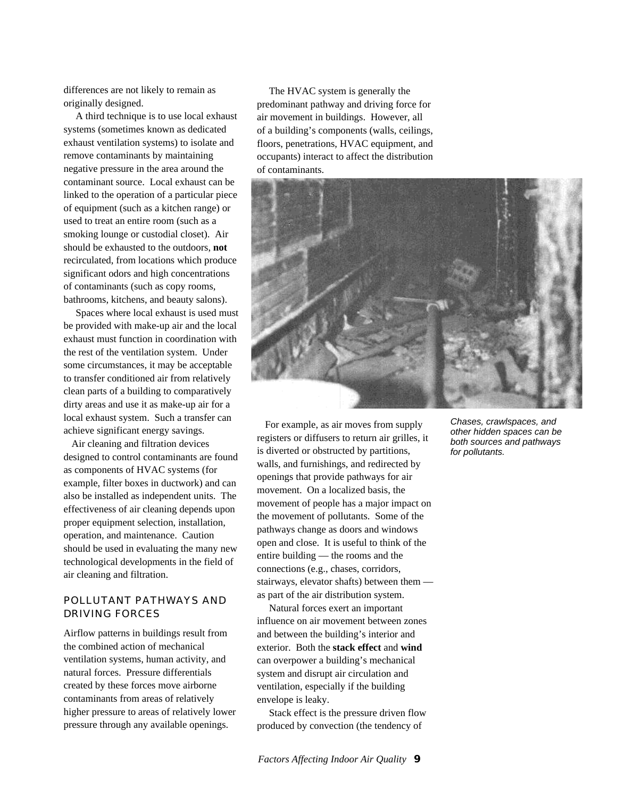differences are not likely to remain as originally designed.

A third technique is to use local exhaust systems (sometimes known as dedicated exhaust ventilation systems) to isolate and remove contaminants by maintaining negative pressure in the area around the contaminant source. Local exhaust can be linked to the operation of a particular piece of equipment (such as a kitchen range) or used to treat an entire room (such as a smoking lounge or custodial closet). Air should be exhausted to the outdoors, **not** recirculated, from locations which produce significant odors and high concentrations of contaminants (such as copy rooms, bathrooms, kitchens, and beauty salons).

Spaces where local exhaust is used must be provided with make-up air and the local exhaust must function in coordination with the rest of the ventilation system. Under some circumstances, it may be acceptable to transfer conditioned air from relatively clean parts of a building to comparatively dirty areas and use it as make-up air for a local exhaust system. Such a transfer can achieve significant energy savings.

Air cleaning and filtration devices designed to control contaminants are found as components of HVAC systems (for example, filter boxes in ductwork) and can also be installed as independent units. The effectiveness of air cleaning depends upon proper equipment selection, installation, operation, and maintenance. Caution should be used in evaluating the many new technological developments in the field of air cleaning and filtration.

# POLLUTANT PATHWAYS AND DRIVING FORCES

Airflow patterns in buildings result from the combined action of mechanical ventilation systems, human activity, and natural forces. Pressure differentials created by these forces move airborne contaminants from areas of relatively higher pressure to areas of relatively lower pressure through any available openings.

The HVAC system is generally the predominant pathway and driving force for air movement in buildings. However, all of a building's components (walls, ceilings, floors, penetrations, HVAC equipment, and occupants) interact to affect the distribution of contaminants.



For example, as air moves from supply registers or diffusers to return air grilles, it is diverted or obstructed by partitions, walls, and furnishings, and redirected by openings that provide pathways for air movement. On a localized basis, the movement of people has a major impact on the movement of pollutants. Some of the pathways change as doors and windows open and close. It is useful to think of the entire building — the rooms and the connections (e.g., chases, corridors, stairways, elevator shafts) between them as part of the air distribution system.

Natural forces exert an important influence on air movement between zones and between the building's interior and exterior. Both the **stack effect** and **wind** can overpower a building's mechanical system and disrupt air circulation and ventilation, especially if the building envelope is leaky.

Stack effect is the pressure driven flow produced by convection (the tendency of

Chases, crawlspaces, and other hidden spaces can be both sources and pathways for pollutants.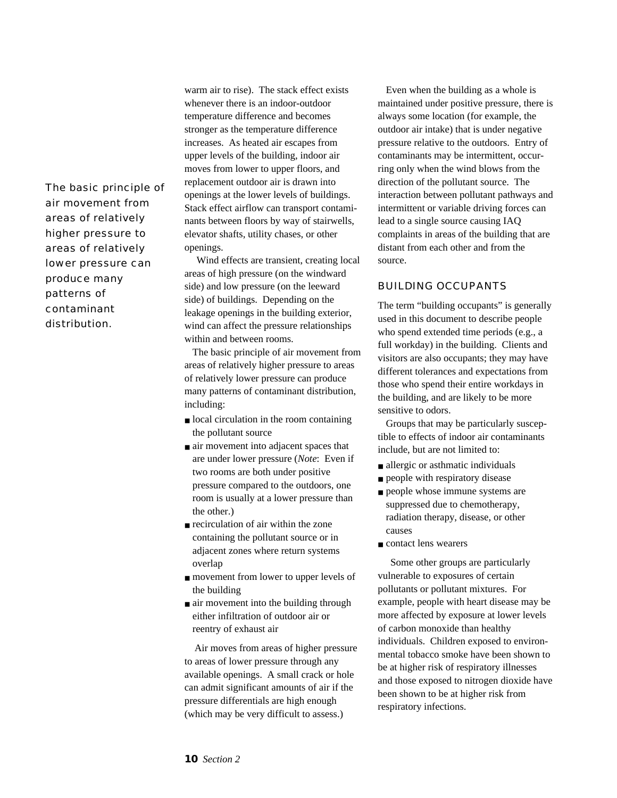The basic principle of air movement from areas of relatively higher pressure to areas of relatively lower pressure can produce many patterns of contaminant distribution.

warm air to rise). The stack effect exists whenever there is an indoor-outdoor temperature difference and becomes stronger as the temperature difference increases. As heated air escapes from upper levels of the building, indoor air moves from lower to upper floors, and replacement outdoor air is drawn into openings at the lower levels of buildings. Stack effect airflow can transport contaminants between floors by way of stairwells, elevator shafts, utility chases, or other openings.

Wind effects are transient, creating local areas of high pressure (on the windward side) and low pressure (on the leeward side) of buildings. Depending on the leakage openings in the building exterior, wind can affect the pressure relationships within and between rooms.

The basic principle of air movement from areas of relatively higher pressure to areas of relatively lower pressure can produce many patterns of contaminant distribution, including:

- $n$  local circulation in the room containing the pollutant source
- air movement into adjacent spaces that are under lower pressure (*Note*: Even if two rooms are both under positive pressure compared to the outdoors, one room is usually at a lower pressure than the other.)
- $n$  recirculation of air within the zone containing the pollutant source or in adjacent zones where return systems overlap
- movement from lower to upper levels of the building
- air movement into the building through either infiltration of outdoor air or reentry of exhaust air

 Air moves from areas of higher pressure to areas of lower pressure through any available openings. A small crack or hole can admit significant amounts of air if the pressure differentials are high enough (which may be very difficult to assess.)

Even when the building as a whole is maintained under positive pressure, there is always some location (for example, the outdoor air intake) that is under negative pressure relative to the outdoors. Entry of contaminants may be intermittent, occurring only when the wind blows from the direction of the pollutant source. The interaction between pollutant pathways and intermittent or variable driving forces can lead to a single source causing IAQ complaints in areas of the building that are distant from each other and from the source.

## BUILDING OCCUPANTS

The term "building occupants" is generally used in this document to describe people who spend extended time periods (e.g., a full workday) in the building. Clients and visitors are also occupants; they may have different tolerances and expectations from those who spend their entire workdays in the building, and are likely to be more sensitive to odors.

Groups that may be particularly susceptible to effects of indoor air contaminants include, but are not limited to:

- allergic or asthmatic individuals
- people with respiratory disease
- people whose immune systems are suppressed due to chemotherapy, radiation therapy, disease, or other causes
- contact lens wearers

 Some other groups are particularly vulnerable to exposures of certain pollutants or pollutant mixtures. For example, people with heart disease may be more affected by exposure at lower levels of carbon monoxide than healthy individuals. Children exposed to environmental tobacco smoke have been shown to be at higher risk of respiratory illnesses and those exposed to nitrogen dioxide have been shown to be at higher risk from respiratory infections.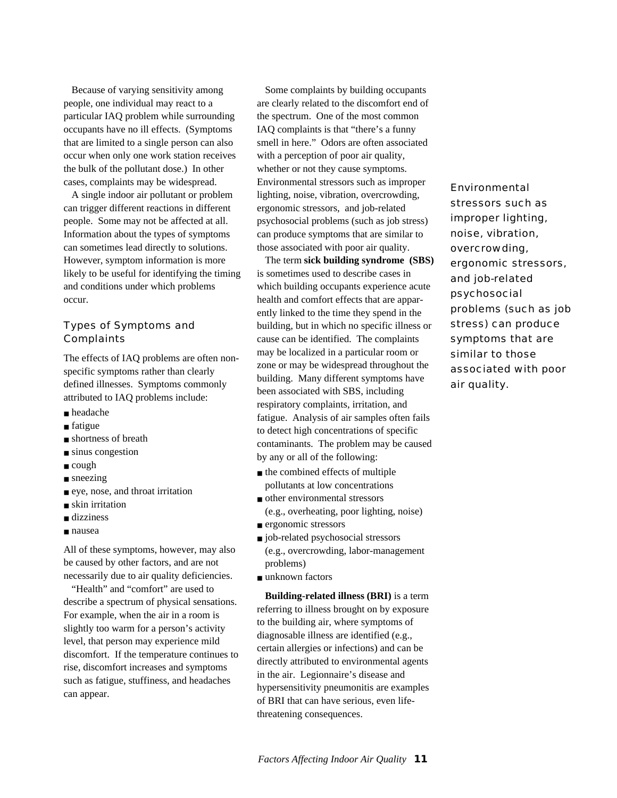Because of varying sensitivity among people, one individual may react to a particular IAQ problem while surrounding occupants have no ill effects. (Symptoms that are limited to a single person can also occur when only one work station receives the bulk of the pollutant dose.) In other cases, complaints may be widespread.

A single indoor air pollutant or problem can trigger different reactions in different people. Some may not be affected at all. Information about the types of symptoms can sometimes lead directly to solutions. However, symptom information is more likely to be useful for identifying the timing and conditions under which problems occur.

# Types of Symptoms and Complaints

The effects of IAQ problems are often nonspecific symptoms rather than clearly defined illnesses. Symptoms commonly attributed to IAQ problems include:

- headache
- fatigue
- shortness of breath
- sinus congestion
- n cough
- sneezing
- eye, nose, and throat irritation
- skin irritation
- dizziness
- n nausea

All of these symptoms, however, may also be caused by other factors, and are not necessarily due to air quality deficiencies.

"Health" and "comfort" are used to describe a spectrum of physical sensations. For example, when the air in a room is slightly too warm for a person's activity level, that person may experience mild discomfort. If the temperature continues to rise, discomfort increases and symptoms such as fatigue, stuffiness, and headaches can appear.

Some complaints by building occupants are clearly related to the discomfort end of the spectrum. One of the most common IAQ complaints is that "there's a funny smell in here." Odors are often associated with a perception of poor air quality, whether or not they cause symptoms. Environmental stressors such as improper lighting, noise, vibration, overcrowding, ergonomic stressors, and job-related psychosocial problems (such as job stress) can produce symptoms that are similar to those associated with poor air quality.

The term **sick building syndrome (SBS)** is sometimes used to describe cases in which building occupants experience acute health and comfort effects that are apparently linked to the time they spend in the building, but in which no specific illness or cause can be identified. The complaints may be localized in a particular room or zone or may be widespread throughout the building. Many different symptoms have been associated with SBS, including respiratory complaints, irritation, and fatigue. Analysis of air samples often fails to detect high concentrations of specific contaminants. The problem may be caused by any or all of the following:

- n the combined effects of multiple pollutants at low concentrations
- other environmental stressors (e.g., overheating, poor lighting, noise)
- ergonomic stressors
- job-related psychosocial stressors (e.g., overcrowding, labor-management problems)
- unknown factors

**Building-related illness (BRI)** is a term referring to illness brought on by exposure to the building air, where symptoms of diagnosable illness are identified (e.g., certain allergies or infections) and can be directly attributed to environmental agents in the air. Legionnaire's disease and hypersensitivity pneumonitis are examples of BRI that can have serious, even lifethreatening consequences.

Environmental stressors such as improper lighting, noise, vibration, overcrowding, ergonomic stressors, and job-related psychosocial problems (such as job stress) can produce symptoms that are similar to those associated with poor air quality.